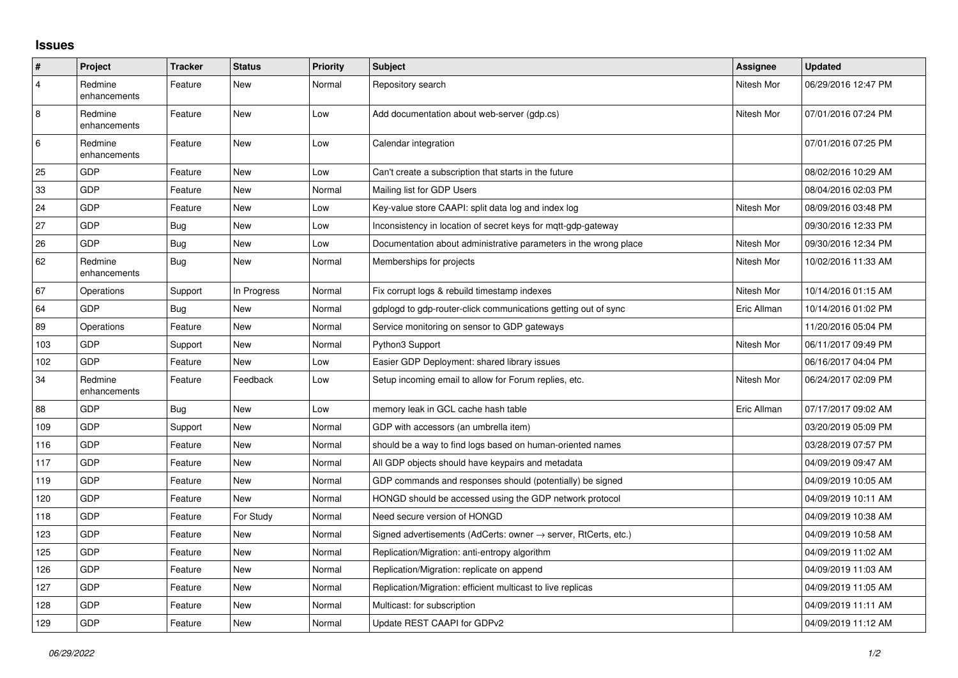## **Issues**

| #              | Project                 | <b>Tracker</b> | <b>Status</b> | <b>Priority</b> | <b>Subject</b>                                                   | <b>Assignee</b> | <b>Updated</b>      |
|----------------|-------------------------|----------------|---------------|-----------------|------------------------------------------------------------------|-----------------|---------------------|
| $\overline{4}$ | Redmine<br>enhancements | Feature        | <b>New</b>    | Normal          | Repository search                                                | Nitesh Mor      | 06/29/2016 12:47 PM |
| 8              | Redmine<br>enhancements | Feature        | <b>New</b>    | Low             | Add documentation about web-server (gdp.cs)                      | Nitesh Mor      | 07/01/2016 07:24 PM |
| $\,6\,$        | Redmine<br>enhancements | Feature        | <b>New</b>    | Low             | Calendar integration                                             |                 | 07/01/2016 07:25 PM |
| 25             | GDP                     | Feature        | <b>New</b>    | Low             | Can't create a subscription that starts in the future            |                 | 08/02/2016 10:29 AM |
| 33             | GDP                     | Feature        | <b>New</b>    | Normal          | Mailing list for GDP Users                                       |                 | 08/04/2016 02:03 PM |
| 24             | GDP                     | Feature        | <b>New</b>    | Low             | Key-value store CAAPI: split data log and index log              | Nitesh Mor      | 08/09/2016 03:48 PM |
| 27             | GDP                     | <b>Bug</b>     | <b>New</b>    | Low             | Inconsistency in location of secret keys for mgtt-gdp-gateway    |                 | 09/30/2016 12:33 PM |
| 26             | <b>GDP</b>              | Bug            | New           | Low             | Documentation about administrative parameters in the wrong place | Nitesh Mor      | 09/30/2016 12:34 PM |
| 62             | Redmine<br>enhancements | <b>Bug</b>     | <b>New</b>    | Normal          | Memberships for projects                                         | Nitesh Mor      | 10/02/2016 11:33 AM |
| 67             | Operations              | Support        | In Progress   | Normal          | Fix corrupt logs & rebuild timestamp indexes                     | Nitesh Mor      | 10/14/2016 01:15 AM |
| 64             | GDP                     | Bug            | <b>New</b>    | Normal          | gdplogd to gdp-router-click communications getting out of sync   | Eric Allman     | 10/14/2016 01:02 PM |
| 89             | Operations              | Feature        | <b>New</b>    | Normal          | Service monitoring on sensor to GDP gateways                     |                 | 11/20/2016 05:04 PM |
| 103            | <b>GDP</b>              | Support        | <b>New</b>    | Normal          | Python3 Support                                                  | Nitesh Mor      | 06/11/2017 09:49 PM |
| 102            | <b>GDP</b>              | Feature        | <b>New</b>    | Low             | Easier GDP Deployment: shared library issues                     |                 | 06/16/2017 04:04 PM |
| 34             | Redmine<br>enhancements | Feature        | Feedback      | Low             | Setup incoming email to allow for Forum replies, etc.            | Nitesh Mor      | 06/24/2017 02:09 PM |
| 88             | GDP                     | Bug            | <b>New</b>    | Low             | memory leak in GCL cache hash table                              | Eric Allman     | 07/17/2017 09:02 AM |
| 109            | <b>GDP</b>              | Support        | <b>New</b>    | Normal          | GDP with accessors (an umbrella item)                            |                 | 03/20/2019 05:09 PM |
| 116            | <b>GDP</b>              | Feature        | <b>New</b>    | Normal          | should be a way to find logs based on human-oriented names       |                 | 03/28/2019 07:57 PM |
| 117            | GDP                     | Feature        | <b>New</b>    | Normal          | All GDP objects should have keypairs and metadata                |                 | 04/09/2019 09:47 AM |
| 119            | GDP                     | Feature        | <b>New</b>    | Normal          | GDP commands and responses should (potentially) be signed        |                 | 04/09/2019 10:05 AM |
| 120            | GDP                     | Feature        | <b>New</b>    | Normal          | HONGD should be accessed using the GDP network protocol          |                 | 04/09/2019 10:11 AM |
| 118            | GDP                     | Feature        | For Study     | Normal          | Need secure version of HONGD                                     |                 | 04/09/2019 10:38 AM |
| 123            | GDP                     | Feature        | <b>New</b>    | Normal          | Signed advertisements (AdCerts: owner → server, RtCerts, etc.)   |                 | 04/09/2019 10:58 AM |
| 125            | GDP                     | Feature        | <b>New</b>    | Normal          | Replication/Migration: anti-entropy algorithm                    |                 | 04/09/2019 11:02 AM |
| 126            | GDP                     | Feature        | New           | Normal          | Replication/Migration: replicate on append                       |                 | 04/09/2019 11:03 AM |
| 127            | GDP                     | Feature        | <b>New</b>    | Normal          | Replication/Migration: efficient multicast to live replicas      |                 | 04/09/2019 11:05 AM |
| 128            | GDP                     | Feature        | <b>New</b>    | Normal          | Multicast: for subscription                                      |                 | 04/09/2019 11:11 AM |
| 129            | GDP                     | Feature        | <b>New</b>    | Normal          | Update REST CAAPI for GDPv2                                      |                 | 04/09/2019 11:12 AM |